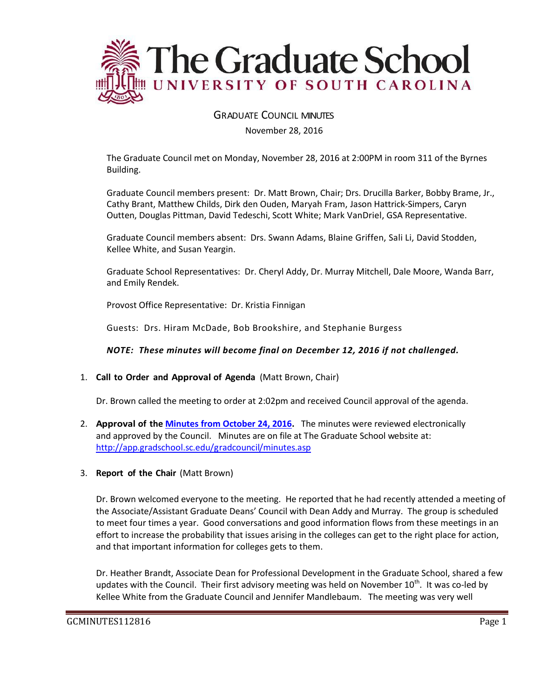

GRADUATE COUNCIL MINUTES

November 28, 2016

The Graduate Council met on Monday, November 28, 2016 at 2:00PM in room 311 of the Byrnes Building.

Graduate Council members present: Dr. Matt Brown, Chair; Drs. Drucilla Barker, Bobby Brame, Jr., Cathy Brant, Matthew Childs, Dirk den Ouden, Maryah Fram, Jason Hattrick-Simpers, Caryn Outten, Douglas Pittman, David Tedeschi, Scott White; Mark VanDriel, GSA Representative.

Graduate Council members absent: Drs. Swann Adams, Blaine Griffen, Sali Li, David Stodden, Kellee White, and Susan Yeargin.

Graduate School Representatives: Dr. Cheryl Addy, Dr. Murray Mitchell, Dale Moore, Wanda Barr, and Emily Rendek.

Provost Office Representative: Dr. Kristia Finnigan

Guests: Drs. Hiram McDade, Bob Brookshire, and Stephanie Burgess

*NOTE: These minutes will become final on December 12, 2016 if not challenged.*

1. **Call to Order and Approval of Agenda** (Matt Brown, Chair)

Dr. Brown called the meeting to order at 2:02pm and received Council approval of the agenda.

- 2. **Approval of the [Minutes from October 24, 2016.](http://gradschool.sc.edu/facstaff/gradcouncil/2016/GCMINUTESOCT242016%20w%20attachment.pdf)** The minutes were reviewed electronically and approved by the Council. Minutes are on file at The Graduate School website at: <http://app.gradschool.sc.edu/gradcouncil/minutes.asp>
- 3. **Report of the Chair** (Matt Brown)

Dr. Brown welcomed everyone to the meeting. He reported that he had recently attended a meeting of the Associate/Assistant Graduate Deans' Council with Dean Addy and Murray. The group is scheduled to meet four times a year. Good conversations and good information flows from these meetings in an effort to increase the probability that issues arising in the colleges can get to the right place for action, and that important information for colleges gets to them.

Dr. Heather Brandt, Associate Dean for Professional Development in the Graduate School, shared a few updates with the Council. Their first advisory meeting was held on November 10<sup>th</sup>. It was co-led by Kellee White from the Graduate Council and Jennifer Mandlebaum. The meeting was very well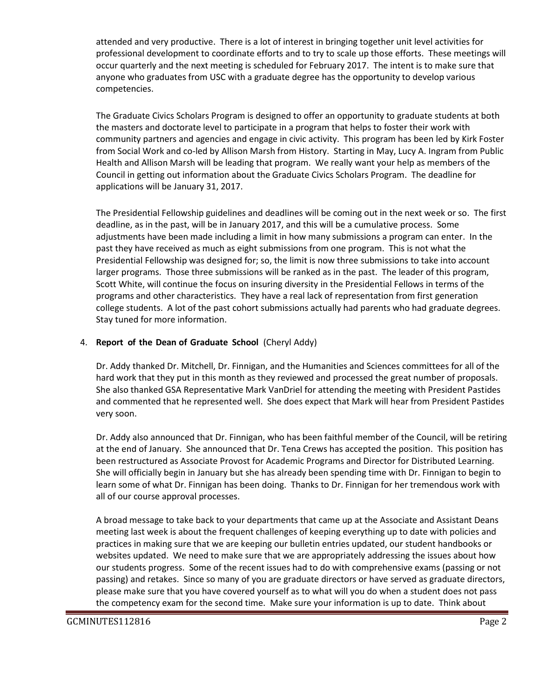attended and very productive. There is a lot of interest in bringing together unit level activities for professional development to coordinate efforts and to try to scale up those efforts. These meetings will occur quarterly and the next meeting is scheduled for February 2017. The intent is to make sure that anyone who graduates from USC with a graduate degree has the opportunity to develop various competencies.

The Graduate Civics Scholars Program is designed to offer an opportunity to graduate students at both the masters and doctorate level to participate in a program that helps to foster their work with community partners and agencies and engage in civic activity. This program has been led by Kirk Foster from Social Work and co-led by Allison Marsh from History. Starting in May, Lucy A. Ingram from Public Health and Allison Marsh will be leading that program. We really want your help as members of the Council in getting out information about the Graduate Civics Scholars Program. The deadline for applications will be January 31, 2017.

The Presidential Fellowship guidelines and deadlines will be coming out in the next week or so. The first deadline, as in the past, will be in January 2017, and this will be a cumulative process. Some adjustments have been made including a limit in how many submissions a program can enter. In the past they have received as much as eight submissions from one program. This is not what the Presidential Fellowship was designed for; so, the limit is now three submissions to take into account larger programs. Those three submissions will be ranked as in the past. The leader of this program, Scott White, will continue the focus on insuring diversity in the Presidential Fellows in terms of the programs and other characteristics. They have a real lack of representation from first generation college students. A lot of the past cohort submissions actually had parents who had graduate degrees. Stay tuned for more information.

## 4. **Report of the Dean of Graduate School** (Cheryl Addy)

Dr. Addy thanked Dr. Mitchell, Dr. Finnigan, and the Humanities and Sciences committees for all of the hard work that they put in this month as they reviewed and processed the great number of proposals. She also thanked GSA Representative Mark VanDriel for attending the meeting with President Pastides and commented that he represented well. She does expect that Mark will hear from President Pastides very soon.

Dr. Addy also announced that Dr. Finnigan, who has been faithful member of the Council, will be retiring at the end of January. She announced that Dr. Tena Crews has accepted the position. This position has been restructured as Associate Provost for Academic Programs and Director for Distributed Learning. She will officially begin in January but she has already been spending time with Dr. Finnigan to begin to learn some of what Dr. Finnigan has been doing. Thanks to Dr. Finnigan for her tremendous work with all of our course approval processes.

A broad message to take back to your departments that came up at the Associate and Assistant Deans meeting last week is about the frequent challenges of keeping everything up to date with policies and practices in making sure that we are keeping our bulletin entries updated, our student handbooks or websites updated. We need to make sure that we are appropriately addressing the issues about how our students progress. Some of the recent issues had to do with comprehensive exams (passing or not passing) and retakes. Since so many of you are graduate directors or have served as graduate directors, please make sure that you have covered yourself as to what will you do when a student does not pass the competency exam for the second time. Make sure your information is up to date. Think about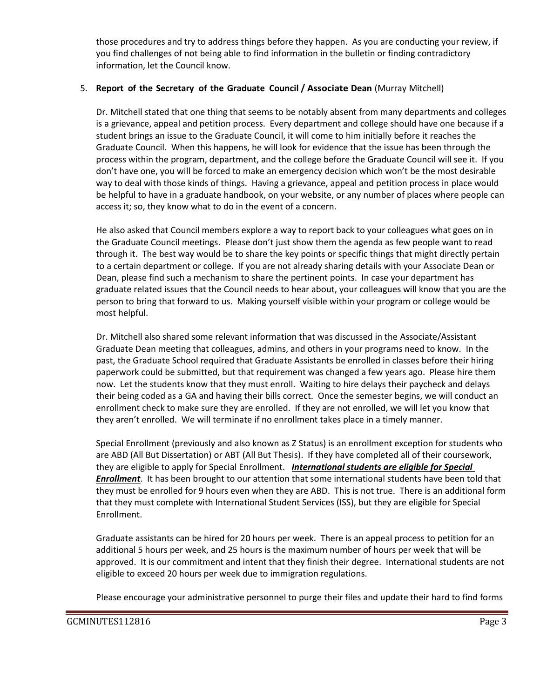those procedures and try to address things before they happen. As you are conducting your review, if you find challenges of not being able to find information in the bulletin or finding contradictory information, let the Council know.

#### 5. **Report of the Secretary of the Graduate Council / Associate Dean** (Murray Mitchell)

Dr. Mitchell stated that one thing that seems to be notably absent from many departments and colleges is a grievance, appeal and petition process. Every department and college should have one because if a student brings an issue to the Graduate Council, it will come to him initially before it reaches the Graduate Council. When this happens, he will look for evidence that the issue has been through the process within the program, department, and the college before the Graduate Council will see it. If you don't have one, you will be forced to make an emergency decision which won't be the most desirable way to deal with those kinds of things. Having a grievance, appeal and petition process in place would be helpful to have in a graduate handbook, on your website, or any number of places where people can access it; so, they know what to do in the event of a concern.

He also asked that Council members explore a way to report back to your colleagues what goes on in the Graduate Council meetings. Please don't just show them the agenda as few people want to read through it. The best way would be to share the key points or specific things that might directly pertain to a certain department or college. If you are not already sharing details with your Associate Dean or Dean, please find such a mechanism to share the pertinent points. In case your department has graduate related issues that the Council needs to hear about, your colleagues will know that you are the person to bring that forward to us. Making yourself visible within your program or college would be most helpful.

Dr. Mitchell also shared some relevant information that was discussed in the Associate/Assistant Graduate Dean meeting that colleagues, admins, and others in your programs need to know. In the past, the Graduate School required that Graduate Assistants be enrolled in classes before their hiring paperwork could be submitted, but that requirement was changed a few years ago. Please hire them now. Let the students know that they must enroll. Waiting to hire delays their paycheck and delays their being coded as a GA and having their bills correct. Once the semester begins, we will conduct an enrollment check to make sure they are enrolled. If they are not enrolled, we will let you know that they aren't enrolled. We will terminate if no enrollment takes place in a timely manner.

Special Enrollment (previously and also known as Z Status) is an enrollment exception for students who are ABD (All But Dissertation) or ABT (All But Thesis). If they have completed all of their coursework, they are eligible to apply for Special Enrollment. *International students are eligible for Special Enrollment*. It has been brought to our attention that some international students have been told that they must be enrolled for 9 hours even when they are ABD. This is not true. There is an additional form that they must complete with International Student Services (ISS), but they are eligible for Special Enrollment.

Graduate assistants can be hired for 20 hours per week. There is an appeal process to petition for an additional 5 hours per week, and 25 hours is the maximum number of hours per week that will be approved. It is our commitment and intent that they finish their degree. International students are not eligible to exceed 20 hours per week due to immigration regulations.

Please encourage your administrative personnel to purge their files and update their hard to find forms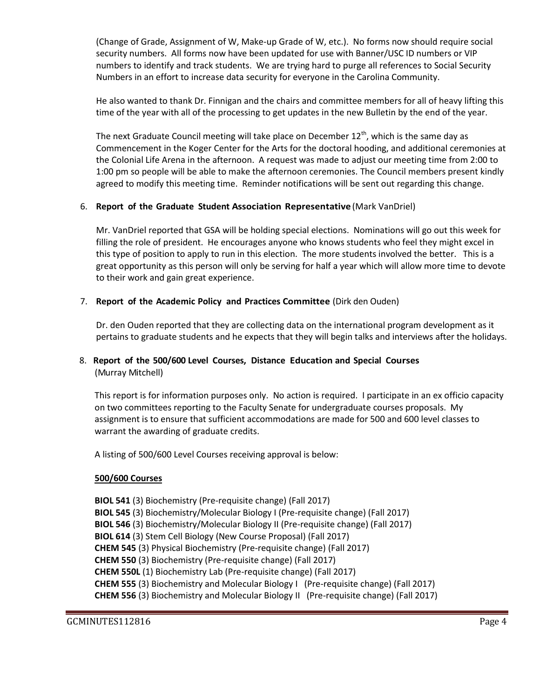(Change of Grade, Assignment of W, Make-up Grade of W, etc.). No forms now should require social security numbers. All forms now have been updated for use with Banner/USC ID numbers or VIP numbers to identify and track students. We are trying hard to purge all references to Social Security Numbers in an effort to increase data security for everyone in the Carolina Community.

He also wanted to thank Dr. Finnigan and the chairs and committee members for all of heavy lifting this time of the year with all of the processing to get updates in the new Bulletin by the end of the year.

The next Graduate Council meeting will take place on December  $12<sup>th</sup>$ , which is the same day as Commencement in the Koger Center for the Arts for the doctoral hooding, and additional ceremonies at the Colonial Life Arena in the afternoon. A request was made to adjust our meeting time from 2:00 to 1:00 pm so people will be able to make the afternoon ceremonies. The Council members present kindly agreed to modify this meeting time. Reminder notifications will be sent out regarding this change.

# 6. **Report of the Graduate Student Association Representative** (Mark VanDriel)

Mr. VanDriel reported that GSA will be holding special elections. Nominations will go out this week for filling the role of president. He encourages anyone who knows students who feel they might excel in this type of position to apply to run in this election. The more students involved the better. This is a great opportunity as this person will only be serving for half a year which will allow more time to devote to their work and gain great experience.

## 7. **Report of the Academic Policy and Practices Committee** (Dirk den Ouden)

Dr. den Ouden reported that they are collecting data on the international program development as it pertains to graduate students and he expects that they will begin talks and interviews after the holidays.

# 8. **Report of the 500/600 Level Courses, Distance Education and Special Courses** (Murray Mitchell)

This report is for information purposes only. No action is required. I participate in an ex officio capacity on two committees reporting to the Faculty Senate for undergraduate courses proposals. My assignment is to ensure that sufficient accommodations are made for 500 and 600 level classes to warrant the awarding of graduate credits.

A listing of 500/600 Level Courses receiving approval is below:

# **500/600 Courses**

**BIOL 541** (3) Biochemistry (Pre-requisite change) (Fall 2017) **BIOL 545** (3) Biochemistry/Molecular Biology I (Pre-requisite change) (Fall 2017) **BIOL 546** (3) Biochemistry/Molecular Biology II (Pre-requisite change) (Fall 2017) **BIOL 614** (3) Stem Cell Biology (New Course Proposal) (Fall 2017) **CHEM 545** (3) Physical Biochemistry (Pre-requisite change) (Fall 2017) **CHEM 550** (3) Biochemistry (Pre-requisite change) (Fall 2017) **CHEM 550L** (1) Biochemistry Lab (Pre-requisite change) (Fall 2017) **CHEM 555** (3) Biochemistry and Molecular Biology I (Pre-requisite change) (Fall 2017) **CHEM 556** (3) Biochemistry and Molecular Biology II (Pre-requisite change) (Fall 2017)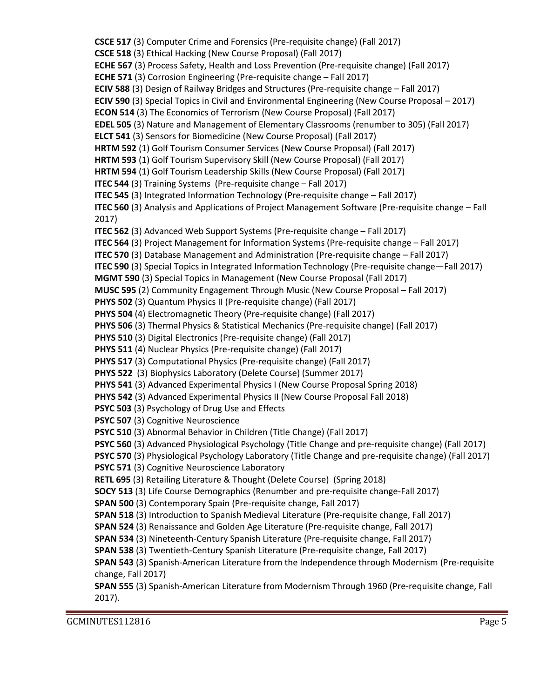**CSCE 517** (3) Computer Crime and Forensics (Pre-requisite change) (Fall 2017) **CSCE 518** (3) Ethical Hacking (New Course Proposal) (Fall 2017) **ECHE 567** (3) Process Safety, Health and Loss Prevention (Pre-requisite change) (Fall 2017) **ECHE 571** (3) Corrosion Engineering (Pre-requisite change – Fall 2017) **ECIV 588** (3) Design of Railway Bridges and Structures (Pre-requisite change – Fall 2017) **ECIV 590** (3) Special Topics in Civil and Environmental Engineering (New Course Proposal – 2017) **ECON 514** (3) The Economics of Terrorism (New Course Proposal) (Fall 2017) **EDEL 505** (3) Nature and Management of Elementary Classrooms (renumber to 305) (Fall 2017) **ELCT 541** (3) Sensors for Biomedicine (New Course Proposal) (Fall 2017) **HRTM 592** (1) Golf Tourism Consumer Services (New Course Proposal) (Fall 2017) **HRTM 593** (1) Golf Tourism Supervisory Skill (New Course Proposal) (Fall 2017) **HRTM 594** (1) Golf Tourism Leadership Skills (New Course Proposal) (Fall 2017) **ITEC 544** (3) Training Systems (Pre-requisite change – Fall 2017) **ITEC 545** (3) Integrated Information Technology (Pre-requisite change – Fall 2017) **ITEC 560** (3) Analysis and Applications of Project Management Software (Pre-requisite change – Fall 2017) **ITEC 562** (3) Advanced Web Support Systems (Pre-requisite change – Fall 2017) **ITEC 564** (3) Project Management for Information Systems (Pre-requisite change – Fall 2017) **ITEC 570** (3) Database Management and Administration (Pre-requisite change – Fall 2017) **ITEC 590** (3) Special Topics in Integrated Information Technology (Pre-requisite change—Fall 2017) **MGMT 590** (3) Special Topics in Management (New Course Proposal (Fall 2017) **MUSC 595** (2) Community Engagement Through Music (New Course Proposal – Fall 2017) **PHYS 502** (3) Quantum Physics II (Pre-requisite change) (Fall 2017) **PHYS 504** (4) Electromagnetic Theory (Pre-requisite change) (Fall 2017) **PHYS 506** (3) Thermal Physics & Statistical Mechanics (Pre-requisite change) (Fall 2017) **PHYS 510** (3) Digital Electronics (Pre-requisite change) (Fall 2017) **PHYS 511** (4) Nuclear Physics (Pre-requisite change) (Fall 2017) **PHYS 517** (3) Computational Physics (Pre-requisite change) (Fall 2017) **PHYS 522** (3) Biophysics Laboratory (Delete Course) (Summer 2017) **PHYS 541** (3) Advanced Experimental Physics I (New Course Proposal Spring 2018) **PHYS 542** (3) Advanced Experimental Physics II (New Course Proposal Fall 2018) **PSYC 503** (3) Psychology of Drug Use and Effects **PSYC 507** (3) Cognitive Neuroscience **PSYC 510** (3) Abnormal Behavior in Children (Title Change) (Fall 2017) **PSYC 560** (3) Advanced Physiological Psychology (Title Change and pre-requisite change) (Fall 2017) **PSYC 570** (3) Physiological Psychology Laboratory (Title Change and pre-requisite change) (Fall 2017) **PSYC 571** (3) Cognitive Neuroscience Laboratory **RETL 695** (3) Retailing Literature & Thought (Delete Course) (Spring 2018) **SOCY 513** (3) Life Course Demographics (Renumber and pre-requisite change-Fall 2017) **SPAN 500** (3) Contemporary Spain (Pre-requisite change, Fall 2017) **SPAN 518** (3) Introduction to Spanish Medieval Literature (Pre-requisite change, Fall 2017) **SPAN 524** (3) Renaissance and Golden Age Literature (Pre-requisite change, Fall 2017) **SPAN 534** (3) Nineteenth-Century Spanish Literature (Pre-requisite change, Fall 2017) **SPAN 538** (3) Twentieth-Century Spanish Literature (Pre-requisite change, Fall 2017) **SPAN 543** (3) Spanish-American Literature from the Independence through Modernism (Pre-requisite change, Fall 2017) **SPAN 555** (3) Spanish-American Literature from Modernism Through 1960 (Pre-requisite change, Fall 2017).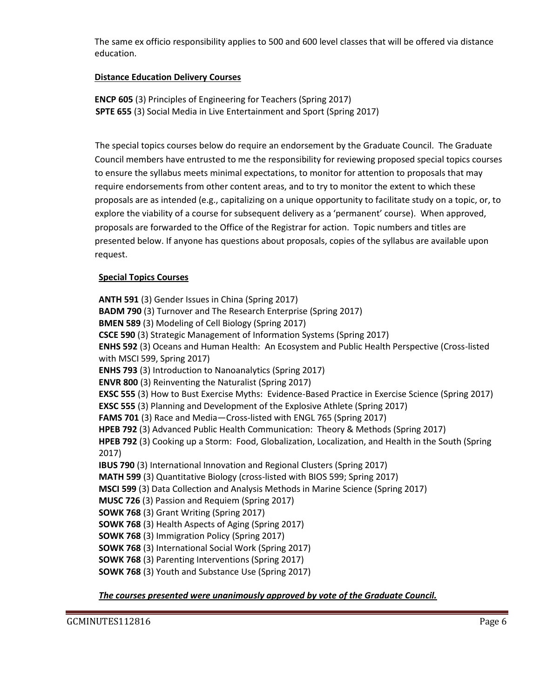The same ex officio responsibility applies to 500 and 600 level classes that will be offered via distance education.

# **Distance Education Delivery Courses**

**ENCP 605** (3) Principles of Engineering for Teachers (Spring 2017)  **SPTE 655** (3) Social Media in Live Entertainment and Sport (Spring 2017)

 The special topics courses below do require an endorsement by the Graduate Council. The Graduate Council members have entrusted to me the responsibility for reviewing proposed special topics courses to ensure the syllabus meets minimal expectations, to monitor for attention to proposals that may require endorsements from other content areas, and to try to monitor the extent to which these proposals are as intended (e.g., capitalizing on a unique opportunity to facilitate study on a topic, or, to explore the viability of a course for subsequent delivery as a 'permanent' course). When approved, proposals are forwarded to the Office of the Registrar for action. Topic numbers and titles are presented below. If anyone has questions about proposals, copies of the syllabus are available upon request.

#### **Special Topics Courses**

**ANTH 591** (3) Gender Issues in China (Spring 2017) **BADM 790** (3) Turnover and The Research Enterprise (Spring 2017) **BMEN 589** (3) Modeling of Cell Biology (Spring 2017) **CSCE 590** (3) Strategic Management of Information Systems (Spring 2017) **ENHS 592** (3) Oceans and Human Health: An Ecosystem and Public Health Perspective (Cross-listed with MSCI 599, Spring 2017) **ENHS 793** (3) Introduction to Nanoanalytics (Spring 2017) **ENVR 800** (3) Reinventing the Naturalist (Spring 2017) **EXSC 555** (3) How to Bust Exercise Myths: Evidence-Based Practice in Exercise Science (Spring 2017) **EXSC 555** (3) Planning and Development of the Explosive Athlete (Spring 2017) **FAMS 701** (3) Race and Media—Cross-listed with ENGL 765 (Spring 2017) **HPEB 792** (3) Advanced Public Health Communication: Theory & Methods (Spring 2017) **HPEB 792** (3) Cooking up a Storm: Food, Globalization, Localization, and Health in the South (Spring 2017) **IBUS 790** (3) International Innovation and Regional Clusters (Spring 2017) **MATH 599** (3) Quantitative Biology (cross-listed with BIOS 599; Spring 2017) **MSCI 599** (3) Data Collection and Analysis Methods in Marine Science (Spring 2017) **MUSC 726** (3) Passion and Requiem (Spring 2017) **SOWK 768** (3) Grant Writing (Spring 2017) **SOWK 768** (3) Health Aspects of Aging (Spring 2017) **SOWK 768** (3) Immigration Policy (Spring 2017) **SOWK 768** (3) International Social Work (Spring 2017) **SOWK 768** (3) Parenting Interventions (Spring 2017) **SOWK 768** (3) Youth and Substance Use (Spring 2017)

*The courses presented were unanimously approved by vote of the Graduate Council.*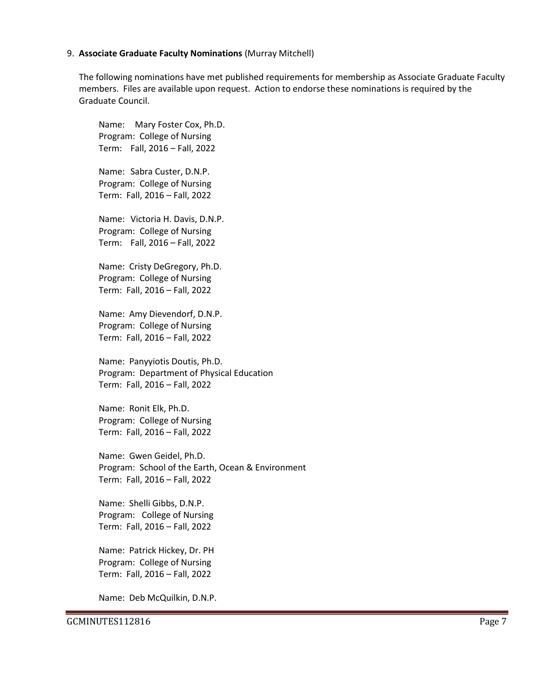#### 9. **Associate Graduate Faculty Nominations** (Murray Mitchell)

The following nominations have met published requirements for membership as Associate Graduate Faculty members. Files are available upon request. Action to endorse these nominations is required by the Graduate Council.

Name: Mary Foster Cox, Ph.D. Program: College of Nursing Term: Fall, 2016 – Fall, 2022

Name: Sabra Custer, D.N.P. Program: College of Nursing Term: Fall, 2016 – Fall, 2022

Name: Victoria H. Davis, D.N.P. Program: College of Nursing Term: Fall, 2016 – Fall, 2022

Name: Cristy DeGregory, Ph.D. Program: College of Nursing Term: Fall, 2016 – Fall, 2022

Name: Amy Dievendorf, D.N.P. Program: College of Nursing Term: Fall, 2016 – Fall, 2022

Name: Panyyiotis Doutis, Ph.D. Program: Department of Physical Education Term: Fall, 2016 – Fall, 2022

Name: Ronit Elk, Ph.D. Program: College of Nursing Term: Fall, 2016 – Fall, 2022

Name: Gwen Geidel, Ph.D. Program: School of the Earth, Ocean & Environment Term: Fall, 2016 – Fall, 2022

Name: Shelli Gibbs, D.N.P. Program: College of Nursing Term: Fall, 2016 – Fall, 2022

Name: Patrick Hickey, Dr. PH Program: College of Nursing Term: Fall, 2016 – Fall, 2022

Name: Deb McQuilkin, D.N.P.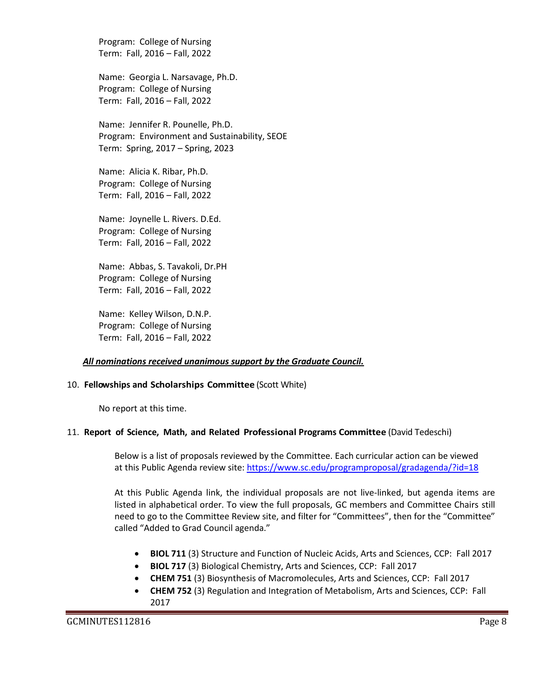Program: College of Nursing Term: Fall, 2016 – Fall, 2022

Name: Georgia L. Narsavage, Ph.D. Program: College of Nursing Term: Fall, 2016 – Fall, 2022

Name: Jennifer R. Pounelle, Ph.D. Program: Environment and Sustainability, SEOE Term: Spring, 2017 – Spring, 2023

Name: Alicia K. Ribar, Ph.D. Program: College of Nursing Term: Fall, 2016 – Fall, 2022

Name: Joynelle L. Rivers. D.Ed. Program: College of Nursing Term: Fall, 2016 – Fall, 2022

Name: Abbas, S. Tavakoli, Dr.PH Program: College of Nursing Term: Fall, 2016 – Fall, 2022

Name: Kelley Wilson, D.N.P. Program: College of Nursing Term: Fall, 2016 – Fall, 2022

#### *All nominations received unanimous support by the Graduate Council.*

#### 10. **Fellowships and Scholarships Committee** (Scott White)

No report at this time.

#### 11. **Report of Science, Math, and Related Professional Programs Committee** (David Tedeschi)

Below is a list of proposals reviewed by the Committee. Each curricular action can be viewed at this Public Agenda review site:<https://www.sc.edu/programproposal/gradagenda/?id=18>

At this Public Agenda link, the individual proposals are not live-linked, but agenda items are listed in alphabetical order. To view the full proposals, GC members and Committee Chairs still need to go to the Committee Review site, and filter for "Committees", then for the "Committee" called "Added to Grad Council agenda."

- **BIOL 711** (3) Structure and Function of Nucleic Acids, Arts and Sciences, CCP: Fall 2017
- **BIOL 717** (3) Biological Chemistry, Arts and Sciences, CCP: Fall 2017
- **CHEM 751** (3) Biosynthesis of Macromolecules, Arts and Sciences, CCP: Fall 2017
- **CHEM 752** (3) Regulation and Integration of Metabolism, Arts and Sciences, CCP: Fall 2017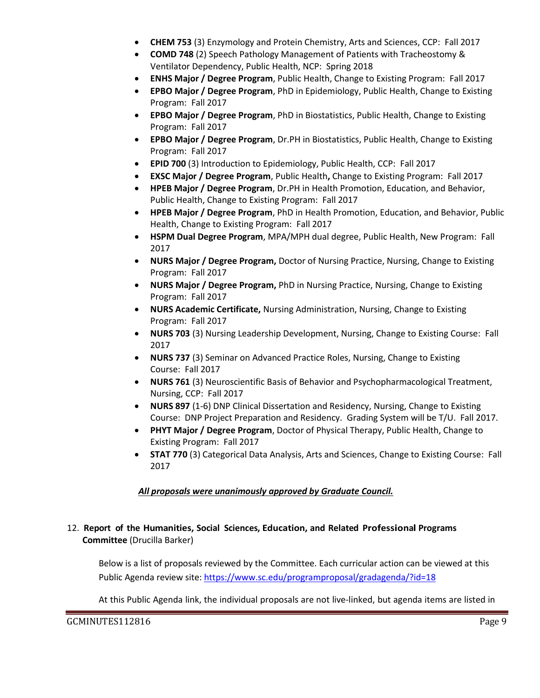- **CHEM 753** (3) Enzymology and Protein Chemistry, Arts and Sciences, CCP: Fall 2017
- **COMD 748** (2) Speech Pathology Management of Patients with Tracheostomy & Ventilator Dependency, Public Health, NCP: Spring 2018
- **ENHS Major / Degree Program**, Public Health, Change to Existing Program: Fall 2017
- **EPBO Major / Degree Program**, PhD in Epidemiology, Public Health, Change to Existing Program: Fall 2017
- **EPBO Major / Degree Program**, PhD in Biostatistics, Public Health, Change to Existing Program: Fall 2017
- **EPBO Major / Degree Program**, Dr.PH in Biostatistics, Public Health, Change to Existing Program: Fall 2017
- **EPID 700** (3) Introduction to Epidemiology, Public Health, CCP: Fall 2017
- **EXSC Major / Degree Program**, Public Health**,** Change to Existing Program: Fall 2017
- **HPEB Major / Degree Program**, Dr.PH in Health Promotion, Education, and Behavior, Public Health, Change to Existing Program: Fall 2017
- **HPEB Major / Degree Program**, PhD in Health Promotion, Education, and Behavior, Public Health, Change to Existing Program: Fall 2017
- **HSPM Dual Degree Program**, MPA/MPH dual degree, Public Health, New Program: Fall 2017
- **NURS Major / Degree Program,** Doctor of Nursing Practice, Nursing, Change to Existing Program: Fall 2017
- **NURS Major / Degree Program,** PhD in Nursing Practice, Nursing, Change to Existing Program: Fall 2017
- **NURS Academic Certificate,** Nursing Administration, Nursing, Change to Existing Program: Fall 2017
- **NURS 703** (3) Nursing Leadership Development, Nursing, Change to Existing Course: Fall 2017
- **NURS 737** (3) Seminar on Advanced Practice Roles, Nursing, Change to Existing Course: Fall 2017
- **NURS 761** (3) Neuroscientific Basis of Behavior and Psychopharmacological Treatment, Nursing, CCP: Fall 2017
- **NURS 897** (1-6) DNP Clinical Dissertation and Residency, Nursing, Change to Existing Course: DNP Project Preparation and Residency. Grading System will be T/U. Fall 2017.
- **PHYT Major / Degree Program**, Doctor of Physical Therapy, Public Health, Change to Existing Program: Fall 2017
- **STAT 770** (3) Categorical Data Analysis, Arts and Sciences, Change to Existing Course: Fall 2017

# *All proposals were unanimously approved by Graduate Council.*

# 12. **Report of the Humanities, Social Sciences, Education, and Related Professional Programs Committee** (Drucilla Barker)

Below is a list of proposals reviewed by the Committee. Each curricular action can be viewed at this Public Agenda review site:<https://www.sc.edu/programproposal/gradagenda/?id=18>

At this Public Agenda link, the individual proposals are not live-linked, but agenda items are listed in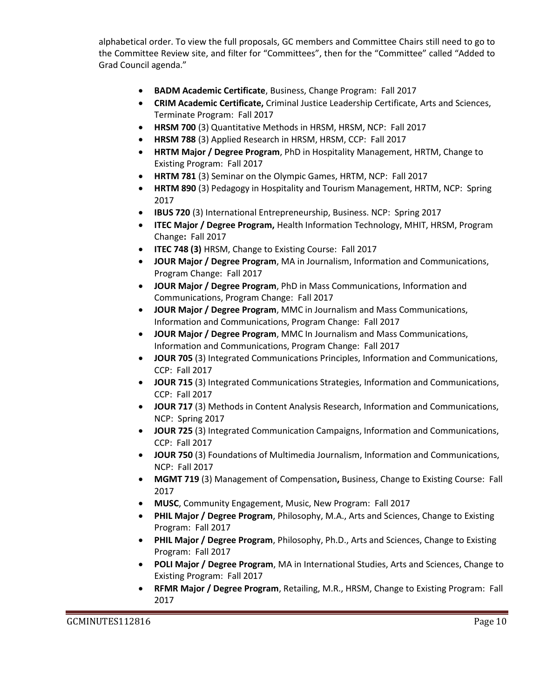alphabetical order. To view the full proposals, GC members and Committee Chairs still need to go to the Committee Review site, and filter for "Committees", then for the "Committee" called "Added to Grad Council agenda."

- **BADM Academic Certificate**, Business, Change Program: Fall 2017
- **CRIM Academic Certificate,** Criminal Justice Leadership Certificate, Arts and Sciences, Terminate Program: Fall 2017
- **HRSM 700** (3) Quantitative Methods in HRSM, HRSM, NCP: Fall 2017
- **HRSM 788** (3) Applied Research in HRSM, HRSM, CCP: Fall 2017
- **HRTM Major / Degree Program**, PhD in Hospitality Management, HRTM, Change to Existing Program: Fall 2017
- **HRTM 781** (3) Seminar on the Olympic Games, HRTM, NCP: Fall 2017
- **HRTM 890** (3) Pedagogy in Hospitality and Tourism Management, HRTM, NCP: Spring 2017
- **IBUS 720** (3) International Entrepreneurship, Business. NCP: Spring 2017
- **ITEC Major / Degree Program,** Health Information Technology, MHIT, HRSM, Program Change**:** Fall 2017
- **ITEC 748 (3)** HRSM, Change to Existing Course: Fall 2017
- **JOUR Major / Degree Program**, MA in Journalism, Information and Communications, Program Change: Fall 2017
- **JOUR Major / Degree Program**, PhD in Mass Communications, Information and Communications, Program Change: Fall 2017
- **JOUR Major / Degree Program**, MMC in Journalism and Mass Communications, Information and Communications, Program Change: Fall 2017
- **JOUR Major / Degree Program**, MMC In Journalism and Mass Communications, Information and Communications, Program Change: Fall 2017
- **JOUR 705** (3) Integrated Communications Principles, Information and Communications, CCP: Fall 2017
- **JOUR 715** (3) Integrated Communications Strategies, Information and Communications, CCP: Fall 2017
- **JOUR 717** (3) Methods in Content Analysis Research, Information and Communications, NCP: Spring 2017
- **JOUR 725** (3) Integrated Communication Campaigns, Information and Communications, CCP: Fall 2017
- **JOUR 750** (3) Foundations of Multimedia Journalism, Information and Communications, NCP: Fall 2017
- **MGMT 719** (3) Management of Compensation**,** Business, Change to Existing Course: Fall 2017
- **MUSC**, Community Engagement, Music, New Program: Fall 2017
- **PHIL Major / Degree Program**, Philosophy, M.A., Arts and Sciences, Change to Existing Program: Fall 2017
- **PHIL Major / Degree Program**, Philosophy, Ph.D., Arts and Sciences, Change to Existing Program: Fall 2017
- **POLI Major / Degree Program**, MA in International Studies, Arts and Sciences, Change to Existing Program: Fall 2017
- **RFMR Major / Degree Program**, Retailing, M.R., HRSM, Change to Existing Program: Fall 2017